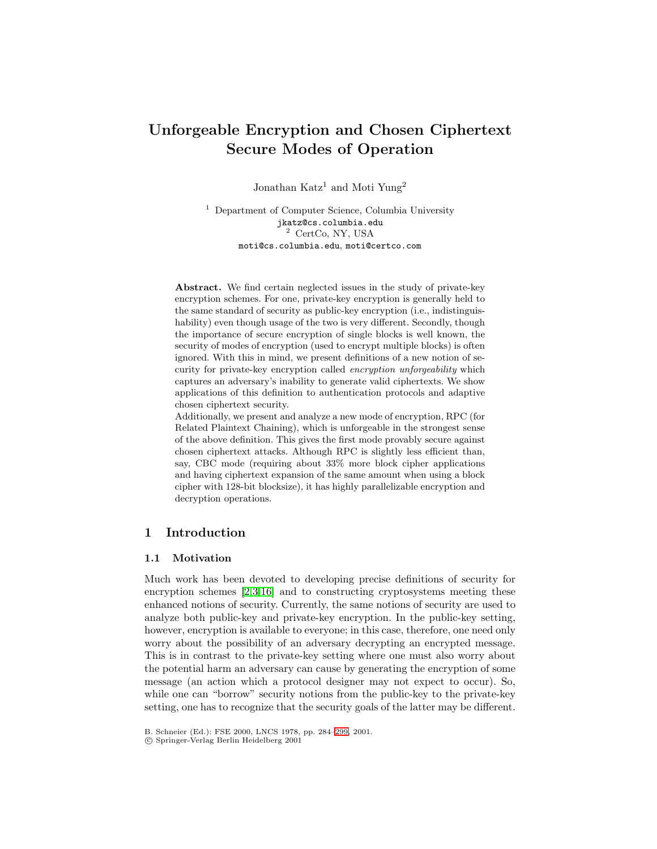# **Unforgeable Encryption and Chosen Ciphertext Secure Modes of Operation**

Jonathan Katz<sup>1</sup> and Moti Yung<sup>2</sup>

<sup>1</sup> Department of Computer Science, Columbia University jkatz@cs.columbia.edu <sup>2</sup> CertCo, NY, USA moti@cs.columbia.edu, moti@certco.com

**Abstract.** We find certain neglected issues in the study of private-key encryption schemes. For one, private-key encryption is generally held to the same standard of security as public-key encryption (i.e., indistinguishability) even though usage of the two is very different. Secondly, though the importance of secure encryption of single blocks is well known, the security of modes of encryption (used to encrypt multiple blocks) is often ignored. With this in mind, we present definitions of a new notion of security for private-key encryption called encryption unforgeability which captures an adversary's inability to generate valid ciphertexts. We show applications of this definition to authentication protocols and adaptive chosen ciphertext security.

Additionally, we present and analyze a new mode of encryption, RPC (for Related Plaintext Chaining), which is unforgeable in the strongest sense of the above definition. This gives the first mode provably secure against chosen ciphertext attacks. Although RPC is slightly less efficient than, say, CBC mode (requiring about 33% more block cipher applications and having ciphertext expansion of the same amount when using a block cipher with 128-bit blocksize), it has highly parallelizable encryption and decryption operations.

# **1 Introduction**

# **1.1 Motivation**

Much work has been devoted to developing precise definitions of security for encryption schemes [\[2,3,16\]](#page-14-0) and to constructing cryptosystems meeting these enhanced notions of security. Currently, the same notions of security are used to analyze both public-key and private-key encryption. In the public-key setting, however, encryption is available to everyone; in this case, therefore, one need only worry about the possibility of an adversary decrypting an encrypted message. This is in contrast to the private-key setting where one must also worry about the potential harm an adversary can cause by generating the encryption of some message (an action which a protocol designer may not expect to occur). So, while one can "borrow" security notions from the public-key to the private-key setting, one has to recognize that the security goals of the latter may be different.

c Springer-Verlag Berlin Heidelberg 2001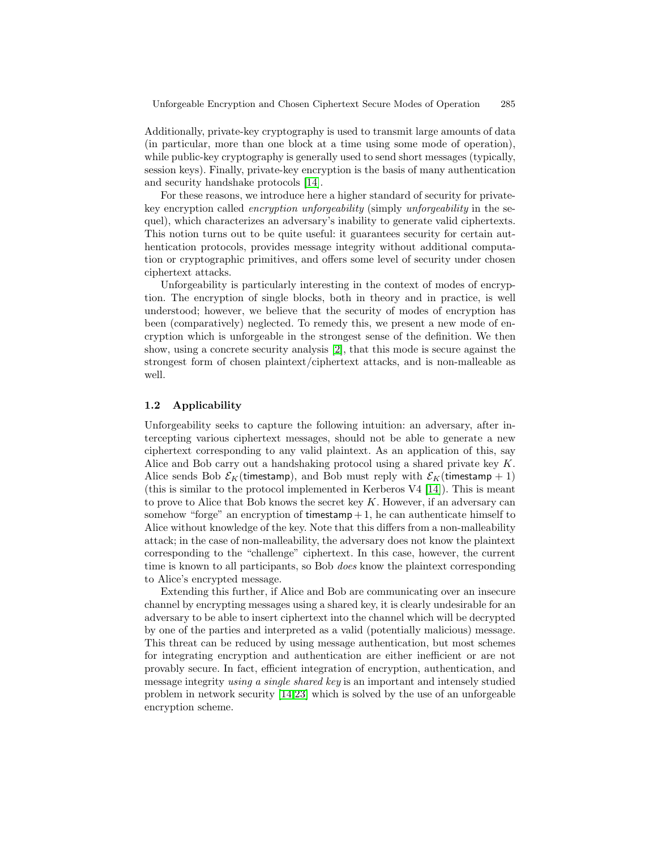Additionally, private-key cryptography is used to transmit large amounts of data (in particular, more than one block at a time using some mode of operation), while public-key cryptography is generally used to send short messages (typically, session keys). Finally, private-key encryption is the basis of many authentication and security handshake protocols [\[14\]](#page-14-0).

For these reasons, we introduce here a higher standard of security for privatekey encryption called encryption unforgeability (simply unforgeability in the sequel), which characterizes an adversary's inability to generate valid ciphertexts. This notion turns out to be quite useful: it guarantees security for certain authentication protocols, provides message integrity without additional computation or cryptographic primitives, and offers some level of security under chosen ciphertext attacks.

Unforgeability is particularly interesting in the context of modes of encryption. The encryption of single blocks, both in theory and in practice, is well understood; however, we believe that the security of modes of encryption has been (comparatively) neglected. To remedy this, we present a new mode of encryption which is unforgeable in the strongest sense of the definition. We then show, using a concrete security analysis [\[2\]](#page-14-0), that this mode is secure against the strongest form of chosen plaintext/ciphertext attacks, and is non-malleable as well.

#### **1.2 Applicability**

Unforgeability seeks to capture the following intuition: an adversary, after intercepting various ciphertext messages, should not be able to generate a new ciphertext corresponding to any valid plaintext. As an application of this, say Alice and Bob carry out a handshaking protocol using a shared private key K. Alice sends Bob  $\mathcal{E}_K$ (timestamp), and Bob must reply with  $\mathcal{E}_K$ (timestamp + 1) (this is similar to the protocol implemented in Kerberos V4 [\[14\]](#page-14-0)). This is meant to prove to Alice that Bob knows the secret key  $K$ . However, if an adversary can somehow "forge" an encryption of timestamp  $+1$ , he can authenticate himself to Alice without knowledge of the key. Note that this differs from a non-malleability attack; in the case of non-malleability, the adversary does not know the plaintext corresponding to the "challenge" ciphertext. In this case, however, the current time is known to all participants, so Bob does know the plaintext corresponding to Alice's encrypted message.

Extending this further, if Alice and Bob are communicating over an insecure channel by encrypting messages using a shared key, it is clearly undesirable for an adversary to be able to insert ciphertext into the channel which will be decrypted by one of the parties and interpreted as a valid (potentially malicious) message. This threat can be reduced by using message authentication, but most schemes for integrating encryption and authentication are either inefficient or are not provably secure. In fact, efficient integration of encryption, authentication, and message integrity using a single shared key is an important and intensely studied problem in network security [\[14,](#page-14-0)[23\]](#page-15-0) which is solved by the use of an unforgeable encryption scheme.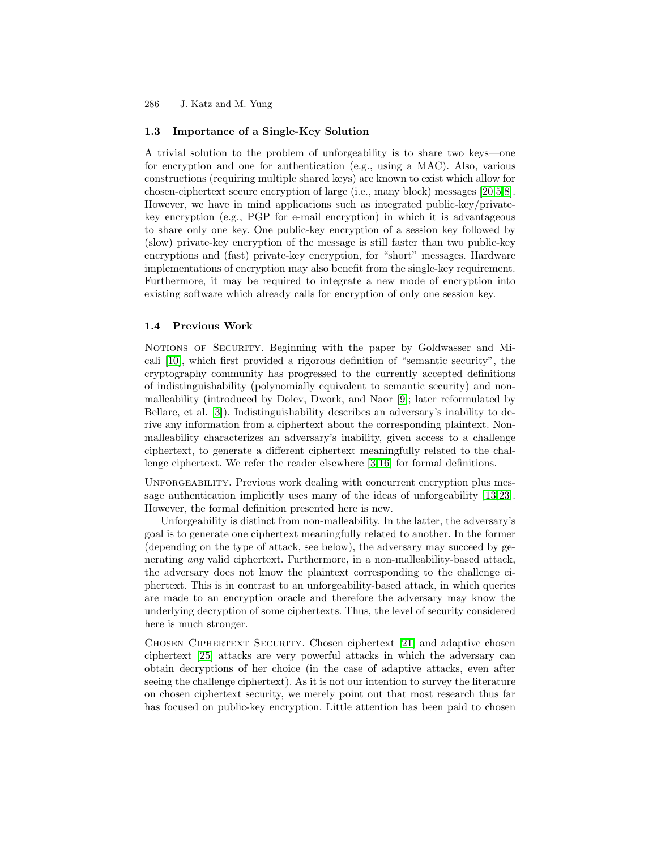# **1.3 Importance of a Single-Key Solution**

A trivial solution to the problem of unforgeability is to share two keys—one for encryption and one for authentication (e.g., using a MAC). Also, various constructions (requiring multiple shared keys) are known to exist which allow for chosen-ciphertext secure encryption of large (i.e., many block) messages [\[20,5,8\]](#page-14-0). However, we have in mind applications such as integrated public-key/privatekey encryption (e.g., PGP for e-mail encryption) in which it is advantageous to share only one key. One public-key encryption of a session key followed by (slow) private-key encryption of the message is still faster than two public-key encryptions and (fast) private-key encryption, for "short" messages. Hardware implementations of encryption may also benefit from the single-key requirement. Furthermore, it may be required to integrate a new mode of encryption into existing software which already calls for encryption of only one session key.

# **1.4 Previous Work**

NOTIONS OF SECURITY. Beginning with the paper by Goldwasser and Micali [\[10\]](#page-14-0), which first provided a rigorous definition of "semantic security", the cryptography community has progressed to the currently accepted definitions of indistinguishability (polynomially equivalent to semantic security) and nonmalleability (introduced by Dolev, Dwork, and Naor [\[9\]](#page-14-0); later reformulated by Bellare, et al. [\[3\]](#page-14-0)). Indistinguishability describes an adversary's inability to derive any information from a ciphertext about the corresponding plaintext. Nonmalleability characterizes an adversary's inability, given access to a challenge ciphertext, to generate a different ciphertext meaningfully related to the challenge ciphertext. We refer the reader elsewhere [\[3,16\]](#page-14-0) for formal definitions.

UNFORGEABILITY. Previous work dealing with concurrent encryption plus message authentication implicitly uses many of the ideas of unforgeability [\[13](#page-14-0)[,23\]](#page-15-0). However, the formal definition presented here is new.

Unforgeability is distinct from non-malleability. In the latter, the adversary's goal is to generate one ciphertext meaningfully related to another. In the former (depending on the type of attack, see below), the adversary may succeed by generating any valid ciphertext. Furthermore, in a non-malleability-based attack, the adversary does not know the plaintext corresponding to the challenge ciphertext. This is in contrast to an unforgeability-based attack, in which queries are made to an encryption oracle and therefore the adversary may know the underlying decryption of some ciphertexts. Thus, the level of security considered here is much stronger.

CHOSEN CIPHERTEXT SECURITY. Chosen ciphertext [\[21\]](#page-15-0) and adaptive chosen ciphertext [\[25\]](#page-15-0) attacks are very powerful attacks in which the adversary can obtain decryptions of her choice (in the case of adaptive attacks, even after seeing the challenge ciphertext). As it is not our intention to survey the literature on chosen ciphertext security, we merely point out that most research thus far has focused on public-key encryption. Little attention has been paid to chosen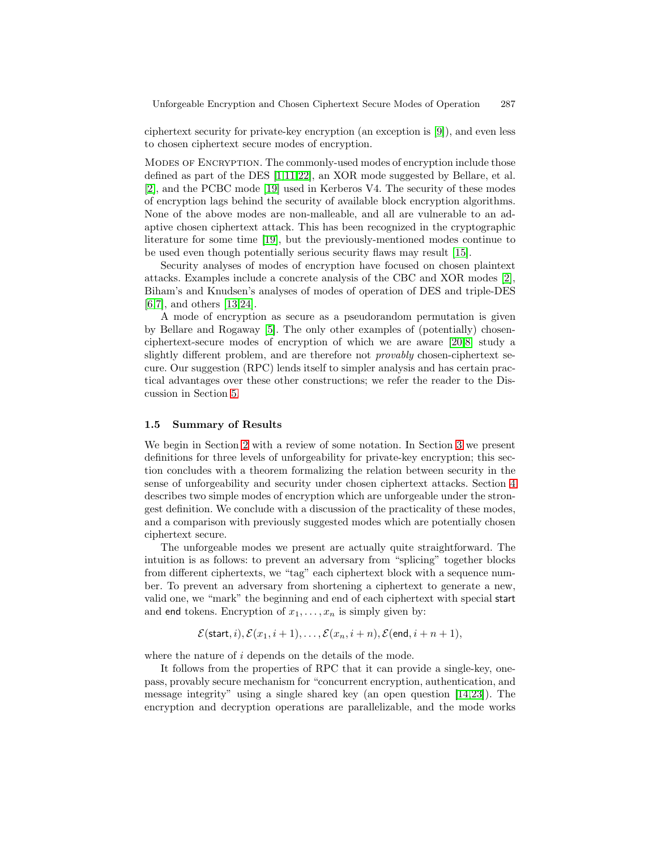ciphertext security for private-key encryption (an exception is [\[9\]](#page-14-0)), and even less to chosen ciphertext secure modes of encryption.

Modes of Encryption. The commonly-used modes of encryption include those defined as part of the DES [\[1,11](#page-14-0)[,22\]](#page-15-0), an XOR mode suggested by Bellare, et al. [\[2\]](#page-14-0), and the PCBC mode [\[19\]](#page-14-0) used in Kerberos V4. The security of these modes of encryption lags behind the security of available block encryption algorithms. None of the above modes are non-malleable, and all are vulnerable to an adaptive chosen ciphertext attack. This has been recognized in the cryptographic literature for some time [\[19\]](#page-14-0), but the previously-mentioned modes continue to be used even though potentially serious security flaws may result [\[15\]](#page-14-0).

Security analyses of modes of encryption have focused on chosen plaintext attacks. Examples include a concrete analysis of the CBC and XOR modes [\[2\]](#page-14-0), Biham's and Knudsen's analyses of modes of operation of DES and triple-DES [\[6,7\]](#page-14-0), and others [\[13](#page-14-0)[,24\]](#page-15-0).

A mode of encryption as secure as a pseudorandom permutation is given by Bellare and Rogaway [\[5\]](#page-14-0). The only other examples of (potentially) chosenciphertext-secure modes of encryption of which we are aware [\[20,8\]](#page-14-0) study a slightly different problem, and are therefore not provably chosen-ciphertext secure. Our suggestion (RPC) lends itself to simpler analysis and has certain practical advantages over these other constructions; we refer the reader to the Discussion in Section [5.](#page-13-0)

#### **1.5 Summary of Results**

We begin in Section [2](#page-4-0) with a review of some notation. In Section [3](#page-5-0) we present definitions for three levels of unforgeability for private-key encryption; this section concludes with a theorem formalizing the relation between security in the sense of unforgeability and security under chosen ciphertext attacks. Section [4](#page-8-0) describes two simple modes of encryption which are unforgeable under the strongest definition. We conclude with a discussion of the practicality of these modes, and a comparison with previously suggested modes which are potentially chosen ciphertext secure.

The unforgeable modes we present are actually quite straightforward. The intuition is as follows: to prevent an adversary from "splicing" together blocks from different ciphertexts, we "tag" each ciphertext block with a sequence number. To prevent an adversary from shortening a ciphertext to generate a new, valid one, we "mark" the beginning and end of each ciphertext with special start and end tokens. Encryption of  $x_1, \ldots, x_n$  is simply given by:

$$
\mathcal{E}(\mathsf{start}, i), \mathcal{E}(x_1, i+1), \dots, \mathcal{E}(x_n, i+n), \mathcal{E}(\mathsf{end}, i+n+1),
$$

where the nature of i depends on the details of the mode.

It follows from the properties of RPC that it can provide a single-key, onepass, provably secure mechanism for "concurrent encryption, authentication, and message integrity" using a single shared key (an open question [\[14](#page-14-0)[,23\]](#page-15-0)). The encryption and decryption operations are parallelizable, and the mode works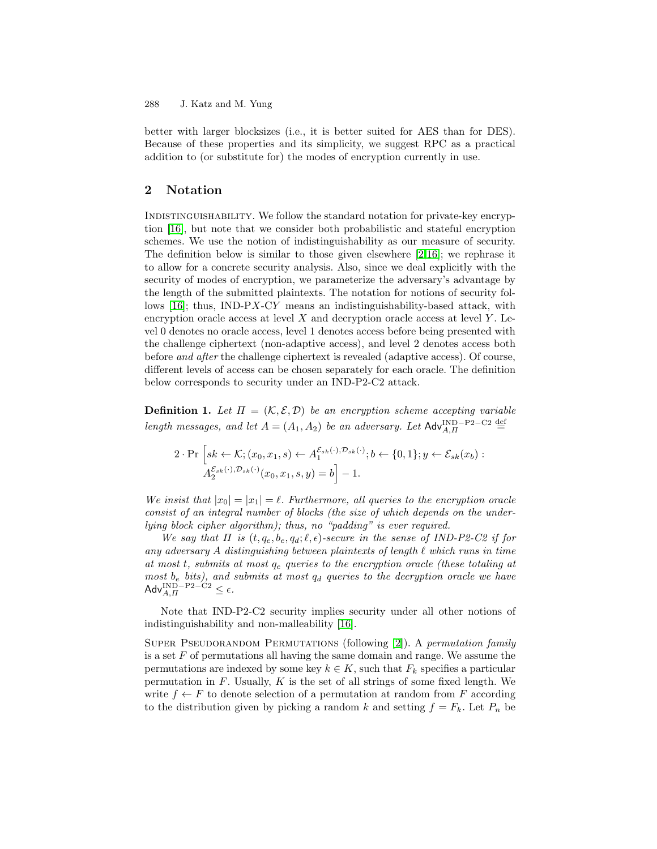<span id="page-4-0"></span>better with larger blocksizes (i.e., it is better suited for AES than for DES). Because of these properties and its simplicity, we suggest RPC as a practical addition to (or substitute for) the modes of encryption currently in use.

# **2 Notation**

Indistinguishability. We follow the standard notation for private-key encryption [\[16\]](#page-14-0), but note that we consider both probabilistic and stateful encryption schemes. We use the notion of indistinguishability as our measure of security. The definition below is similar to those given elsewhere  $[2,16]$ ; we rephrase it to allow for a concrete security analysis. Also, since we deal explicitly with the security of modes of encryption, we parameterize the adversary's advantage by the length of the submitted plaintexts. The notation for notions of security follows  $[16]$ ; thus, IND-PX-CY means an indistinguishability-based attack, with encryption oracle access at level  $X$  and decryption oracle access at level  $Y$ . Level 0 denotes no oracle access, level 1 denotes access before being presented with the challenge ciphertext (non-adaptive access), and level 2 denotes access both before and after the challenge ciphertext is revealed (adaptive access). Of course, different levels of access can be chosen separately for each oracle. The definition below corresponds to security under an IND-P2-C2 attack.

**Definition 1.** Let  $\Pi = (\mathcal{K}, \mathcal{E}, \mathcal{D})$  be an encryption scheme accepting variable length messages, and let  $A = (A_1, A_2)$  be an adversary. Let  $\mathsf{Adv}_{A,\Pi}^{\text{IND}-\text{P2--C2}}$  $\stackrel{\text{def}}{=}$ 

$$
2 \cdot \Pr\left[sk \leftarrow \mathcal{K}; (x_0, x_1, s) \leftarrow A_1^{\mathcal{E}_{sk}(\cdot), \mathcal{D}_{sk}(\cdot)}; b \leftarrow \{0, 1\}; y \leftarrow \mathcal{E}_{sk}(x_b):
$$

$$
A_2^{\mathcal{E}_{sk}(\cdot), \mathcal{D}_{sk}(\cdot)}(x_0, x_1, s, y) = b \right] - 1.
$$

We insist that  $|x_0| = |x_1| = \ell$ . Furthermore, all queries to the encryption oracle consist of an integral number of blocks (the size of which depends on the underlying block cipher algorithm); thus, no "padding" is ever required.

We say that  $\Pi$  is  $(t, q_e, b_e, q_d; \ell, \epsilon)$ -secure in the sense of IND-P2-C2 if for any adversary A distinguishing between plaintexts of length  $\ell$  which runs in time at most t, submits at most  $q_e$  queries to the encryption oracle (these totaling at most  $b_e$  bits), and submits at most  $q_d$  queries to the decryption oracle we have Adv $_{A,H}^{\rm IND-P2-C2} \leq \epsilon$ .

Note that IND-P2-C2 security implies security under all other notions of indistinguishability and non-malleability [\[16\]](#page-14-0).

SUPER PSEUDORANDOM PERMUTATIONS (following [\[2\]](#page-14-0)). A *permutation family* is a set  $F$  of permutations all having the same domain and range. We assume the permutations are indexed by some key  $k \in K$ , such that  $F_k$  specifies a particular permutation in  $F$ . Usually,  $K$  is the set of all strings of some fixed length. We write  $f \leftarrow F$  to denote selection of a permutation at random from F according to the distribution given by picking a random k and setting  $f = F_k$ . Let  $P_n$  be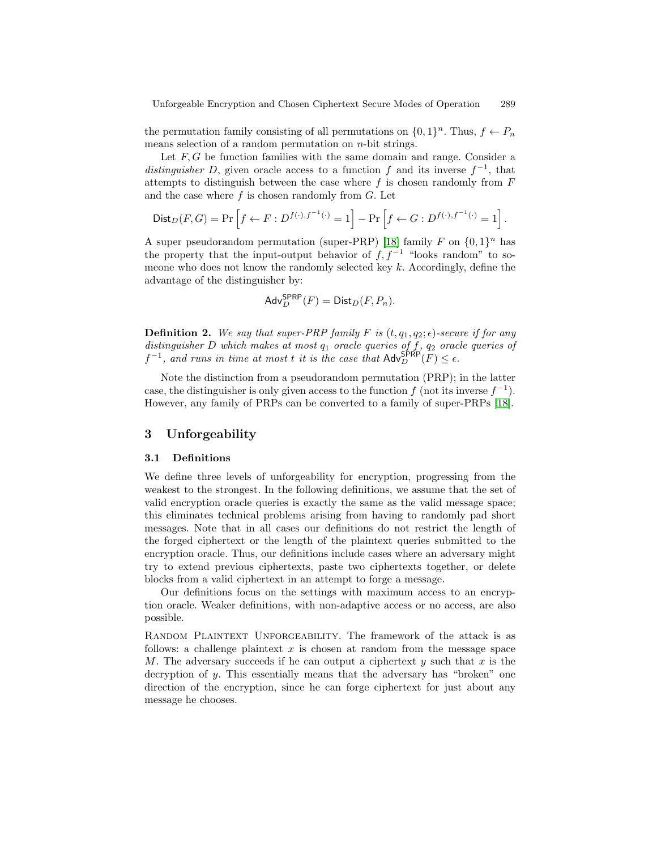<span id="page-5-0"></span>the permutation family consisting of all permutations on  $\{0, 1\}^n$ . Thus,  $f \leftarrow P_n$ means selection of a random permutation on  $n$ -bit strings.

Let  $F, G$  be function families with the same domain and range. Consider a distinguisher D, given oracle access to a function f and its inverse  $f^{-1}$ , that attempts to distinguish between the case where  $f$  is chosen randomly from  $F$ and the case where  $f$  is chosen randomly from  $G$ . Let

$$
\text{Dist}_D(F, G) = \Pr\left[f \leftarrow F : D^{f(\cdot), f^{-1}(\cdot)} = 1\right] - \Pr\left[f \leftarrow G : D^{f(\cdot), f^{-1}(\cdot)} = 1\right].
$$

A super pseudorandom permutation (super-PRP) [\[18\]](#page-14-0) family F on  $\{0,1\}^n$  has the property that the input-output behavior of  $f, f^{-1}$  "looks random" to someone who does not know the randomly selected key  $k$ . Accordingly, define the advantage of the distinguisher by:

$$
\mathsf{Adv}_{D}^{\mathsf{SPRP}}(F) = \mathsf{Dist}_{D}(F, P_n).
$$

**Definition 2.** We say that super-PRP family F is  $(t, q_1, q_2; \epsilon)$ -secure if for any distinguisher D which makes at most  $q_1$  oracle queries of f,  $q_2$  oracle queries of  $f^{-1}$ , and runs in time at most t it is the case that  $\mathsf{Adv}_{D}^{\mathsf{SPRP}}(F) \leq \epsilon$ .

Note the distinction from a pseudorandom permutation (PRP); in the latter case, the distinguisher is only given access to the function f (not its inverse  $f^{-1}$ ). However, any family of PRPs can be converted to a family of super-PRPs [\[18\]](#page-14-0).

### **3 Unforgeability**

#### **3.1 Definitions**

We define three levels of unforgeability for encryption, progressing from the weakest to the strongest. In the following definitions, we assume that the set of valid encryption oracle queries is exactly the same as the valid message space; this eliminates technical problems arising from having to randomly pad short messages. Note that in all cases our definitions do not restrict the length of the forged ciphertext or the length of the plaintext queries submitted to the encryption oracle. Thus, our definitions include cases where an adversary might try to extend previous ciphertexts, paste two ciphertexts together, or delete blocks from a valid ciphertext in an attempt to forge a message.

Our definitions focus on the settings with maximum access to an encryption oracle. Weaker definitions, with non-adaptive access or no access, are also possible.

RANDOM PLAINTEXT UNFORGEABILITY. The framework of the attack is as follows: a challenge plaintext  $x$  is chosen at random from the message space M. The adversary succeeds if he can output a ciphertext y such that x is the decryption of y. This essentially means that the adversary has "broken" one direction of the encryption, since he can forge ciphertext for just about any message he chooses.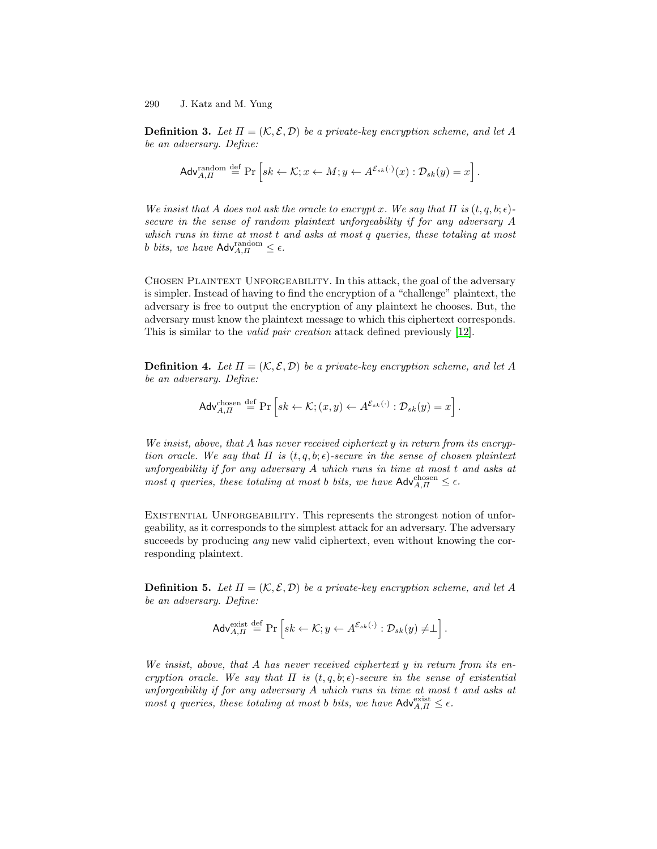**Definition 3.** Let  $\Pi = (\mathcal{K}, \mathcal{E}, \mathcal{D})$  be a private-key encryption scheme, and let A be an adversary. Define:

$$
\mathsf{Adv}_{A,\Pi}^{\text{random}} \stackrel{\text{def}}{=} \Pr\left[sk \leftarrow \mathcal{K}; x \leftarrow M; y \leftarrow A^{\mathcal{E}_{sk}(\cdot)}(x) : \mathcal{D}_{sk}(y) = x\right].
$$

We insist that A does not ask the oracle to encrypt x. We say that  $\Pi$  is  $(t, q, b; \epsilon)$ secure in the sense of random plaintext unforgeability if for any adversary A which runs in time at most t and asks at most q queries, these totaling at most b bits, we have  $\mathsf{Adv}_{A,\Pi}^{\text{random}} \leq \epsilon$ .

Chosen Plaintext Unforgeability. In this attack, the goal of the adversary is simpler. Instead of having to find the encryption of a "challenge" plaintext, the adversary is free to output the encryption of any plaintext he chooses. But, the adversary must know the plaintext message to which this ciphertext corresponds. This is similar to the valid pair creation attack defined previously [\[12\]](#page-14-0).

**Definition 4.** Let  $\Pi = (\mathcal{K}, \mathcal{E}, \mathcal{D})$  be a private-key encryption scheme, and let A be an adversary. Define:

$$
\mathsf{Adv}_{A,II}^{\text{chosen}} \stackrel{\text{def}}{=} \Pr\left[sk \leftarrow \mathcal{K}; (x, y) \leftarrow A^{\mathcal{E}_{sk}(\cdot)} : \mathcal{D}_{sk}(y) = x\right].
$$

We insist, above, that  $A$  has never received ciphertext  $y$  in return from its encryption oracle. We say that  $\Pi$  is  $(t, q, b; \epsilon)$ -secure in the sense of chosen plaintext unforgeability if for any adversary A which runs in time at most t and asks at most q queries, these totaling at most b bits, we have  $\mathsf{Adv}_{A,\Pi}^{\text{chosen}} \leq \epsilon$ .

EXISTENTIAL UNFORGEABILITY. This represents the strongest notion of unforgeability, as it corresponds to the simplest attack for an adversary. The adversary succeeds by producing *any* new valid ciphertext, even without knowing the corresponding plaintext.

**Definition 5.** Let  $\Pi = (\mathcal{K}, \mathcal{E}, \mathcal{D})$  be a private-key encryption scheme, and let A be an adversary. Define:

$$
\mathsf{Adv}_{A,\Pi}^{\text{exist}} \stackrel{\text{def}}{=} \Pr\left[sk \leftarrow \mathcal{K}; y \leftarrow A^{\mathcal{E}_{sk}(\cdot)} : \mathcal{D}_{sk}(y) \neq \perp\right].
$$

We insist, above, that A has never received ciphertext y in return from its encryption oracle. We say that  $\Pi$  is  $(t, q, b; \epsilon)$ -secure in the sense of existential unforgeability if for any adversary A which runs in time at most t and asks at most q queries, these totaling at most b bits, we have  $\mathsf{Adv}_{A,II}^{\text{exist}} \leq \epsilon$ .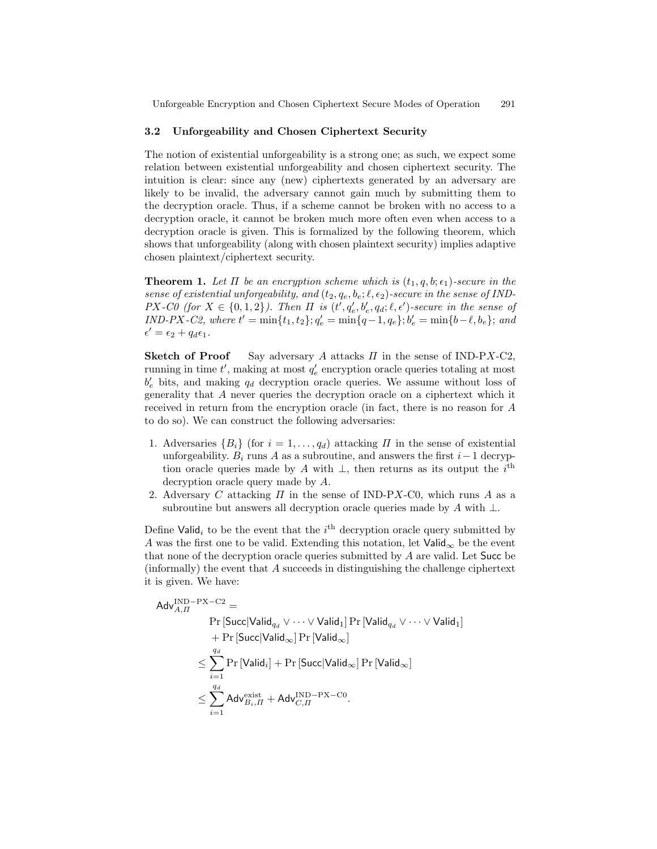#### <span id="page-7-0"></span>**3.2 Unforgeability and Chosen Ciphertext Security**

The notion of existential unforgeability is a strong one; as such, we expect some relation between existential unforgeability and chosen ciphertext security. The intuition is clear: since any (new) ciphertexts generated by an adversary are likely to be invalid, the adversary cannot gain much by submitting them to the decryption oracle. Thus, if a scheme cannot be broken with no access to a decryption oracle, it cannot be broken much more often even when access to a decryption oracle is given. This is formalized by the following theorem, which shows that unforgeability (along with chosen plaintext security) implies adaptive chosen plaintext/ciphertext security.

**Theorem 1.** Let  $\Pi$  be an encryption scheme which is  $(t_1, q, b; \epsilon_1)$ -secure in the sense of existential unforgeability, and  $(t_2, q_e, b_e; \ell, \epsilon_2)$ -secure in the sense of IND- $PX$ -CO (for  $X \in \{0,1,2\}$ ). Then  $\Pi$  is  $(t', q'_e, b'_e, q_d; \ell, \epsilon')$ -secure in the sense of  $IND-PX-C2$ , where  $t' = \min\{t_1, t_2\}; q'_e = \min\{q-1, q_e\}; b'_e = \min\{b-\ell, b_e\};$  and  $\epsilon' = \epsilon_2 + q_d \epsilon_1.$ 

**Sketch of Proof** Say adversary A attacks  $\Pi$  in the sense of IND-PX-C2, running in time  $t'$ , making at most  $q'_e$  encryption oracle queries totaling at most  $b'_e$  bits, and making  $q_d$  decryption oracle queries. We assume without loss of generality that A never queries the decryption oracle on a ciphertext which it received in return from the encryption oracle (in fact, there is no reason for A to do so). We can construct the following adversaries:

- 1. Adversaries  $\{B_i\}$  (for  $i = 1, \ldots, q_d$ ) attacking  $\Pi$  in the sense of existential unforgeability.  $B_i$  runs A as a subroutine, and answers the first  $i-1$  decryption oracle queries made by A with  $\perp$ , then returns as its output the i<sup>th</sup> decryption oracle query made by A.
- 2. Adversary C attacking  $\Pi$  in the sense of IND-PX-C0, which runs A as a subroutine but answers all decryption oracle queries made by A with  $\perp$ .

Define Valid<sub>i</sub> to be the event that the  $i<sup>th</sup>$  decryption oracle query submitted by A was the first one to be valid. Extending this notation, let  $\mathsf{Valid}_{\infty}$  be the event that none of the decryption oracle queries submitted by A are valid. Let Succ be (informally) the event that A succeeds in distinguishing the challenge ciphertext it is given. We have:

$$
\begin{aligned}\n\mathsf{Adv}_{A, \Pi}^{\text{IND-PX-C2}} &= \\
&\quad \Pr\left[\text{Succ}|\text{Valid}_{q_d} \lor \dots \lor \text{Valid}_1\right] \Pr\left[\text{Valid}_{q_d} \lor \dots \lor \text{Valid}_1\right] \\
&\quad + \Pr\left[\text{Succ}|\text{Valid}_{\infty}\right] \Pr\left[\text{Valid}_{\infty}\right] \\
&\le \sum_{i=1}^{q_d} \Pr\left[\text{Valid}_i\right] + \Pr\left[\text{Succ}|\text{Valid}_{\infty}\right] \Pr\left[\text{Valid}_{\infty}\right] \\
&\le \sum_{i=1}^{q_d} \mathsf{Adv}_{B_i, \Pi}^{\text{exist}} + \mathsf{Adv}_{C, \Pi}^{\text{IND-PX-C0}}.\n\end{aligned}
$$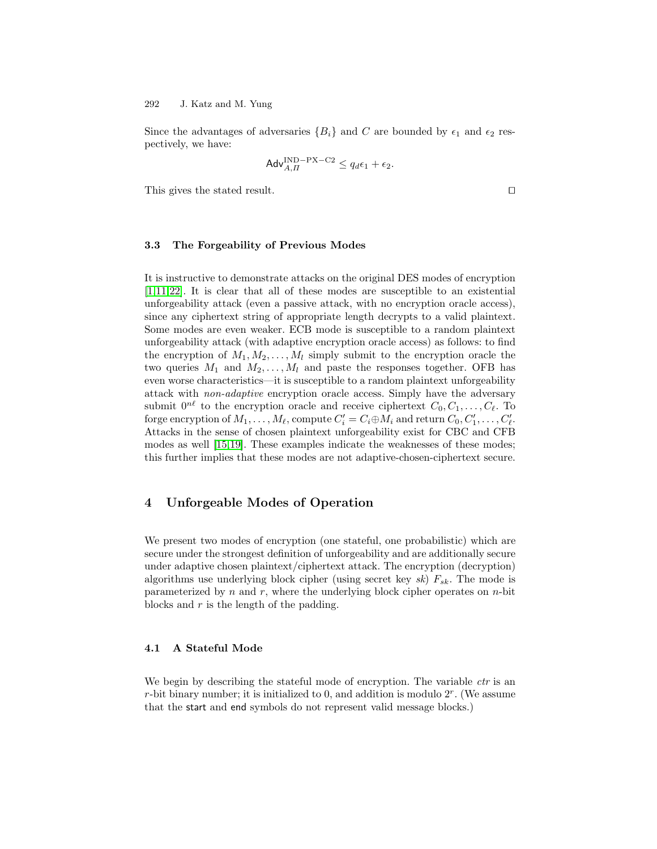<span id="page-8-0"></span>Since the advantages of adversaries  ${B_i}$  and C are bounded by  $\epsilon_1$  and  $\epsilon_2$  respectively, we have:

$$
\mathsf{Adv}_{A,\Pi}^{\text{IND-PX-C2}} \le q_d \epsilon_1 + \epsilon_2.
$$

This gives the stated result.  $\Box$ 

#### **3.3 The Forgeability of Previous Modes**

It is instructive to demonstrate attacks on the original DES modes of encryption [\[1,11](#page-14-0)[,22\]](#page-15-0). It is clear that all of these modes are susceptible to an existential unforgeability attack (even a passive attack, with no encryption oracle access), since any ciphertext string of appropriate length decrypts to a valid plaintext. Some modes are even weaker. ECB mode is susceptible to a random plaintext unforgeability attack (with adaptive encryption oracle access) as follows: to find the encryption of  $M_1, M_2, \ldots, M_l$  simply submit to the encryption oracle the two queries  $M_1$  and  $M_2, \ldots, M_l$  and paste the responses together. OFB has even worse characteristics—it is susceptible to a random plaintext unforgeability attack with non-adaptive encryption oracle access. Simply have the adversary submit  $0^{n\ell}$  to the encryption oracle and receive ciphertext  $C_0, C_1, \ldots, C_{\ell}$ . To forge encryption of  $M_1, \ldots, M_\ell$ , compute  $C_i' = C_i \oplus M_i$  and return  $C_0, C'_1, \ldots, C'_\ell$ . Attacks in the sense of chosen plaintext unforgeability exist for CBC and CFB modes as well [\[15,19\]](#page-14-0). These examples indicate the weaknesses of these modes; this further implies that these modes are not adaptive-chosen-ciphertext secure.

# **4 Unforgeable Modes of Operation**

We present two modes of encryption (one stateful, one probabilistic) which are secure under the strongest definition of unforgeability and are additionally secure under adaptive chosen plaintext/ciphertext attack. The encryption (decryption) algorithms use underlying block cipher (using secret key  $sk$ )  $F_{sk}$ . The mode is parameterized by n and r, where the underlying block cipher operates on  $n$ -bit blocks and r is the length of the padding.

#### **4.1 A Stateful Mode**

We begin by describing the stateful mode of encryption. The variable *ctr* is an r-bit binary number; it is initialized to 0, and addition is modulo  $2<sup>r</sup>$ . (We assume that the start and end symbols do not represent valid message blocks.)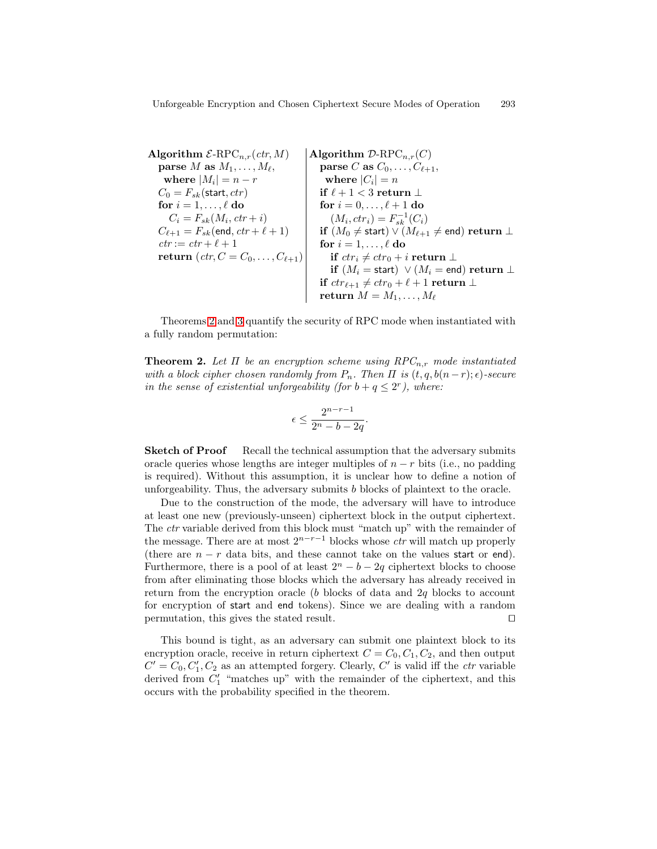<span id="page-9-0"></span>**Algorithm**  $\mathcal{E}\text{-RPC}_{n,r}(ctr, M)$ **parse** M **as**  $M_1, \ldots, M_\ell$ , **where**  $|M_i| = n - r$  $C_0 = F_{sk}(\text{start}, ctr)$ **for**  $i = 1, \ldots, \ell$  **do**  $C_i = F_{sk}(M_i, ctr + i)$  $C_{\ell+1} = F_{sk}(\text{end}, ctr + \ell + 1)$  $ctr := \operatorname{ctr} + \ell + 1$ **return**  $(\text{ctr}, C = C_0, \ldots, C_{\ell+1})$ **Algorithm**  $\mathcal{D}$ -RPC<sub>n,r</sub>(C) **parse** C **as**  $C_0, \ldots, C_{\ell+1}$ , where  $|C_i| = n$ **if**  $ℓ + 1 < 3$  **return** ⊥ **for**  $i = 0, ..., \ell + 1$  **do**  $(M_i, ctr_i) = F_{sk}^{-1}(C_i)$  $\mathbf{if}\,\,(M_0\neq\mathsf{start}) \vee (M_{\ell+1}\neq\mathsf{end})$   $\mathbf{return}\perp$ **for**  $i = 1, \ldots, \ell$  **do if**  $ctr_i ≠ ctr_0 + i$  **return** ⊥  $\mathbf{if}\,\,(M_i = \mathsf{start})\,\,\vee\,(M_i = \mathsf{end})\,\,\mathbf{return}\perp\,\,$ **if**  $ctr_{\ell+1} \neq ctr_0 + \ell + 1$  **return** ⊥  $\textbf{return} \; M = M_1, \ldots, M_\ell$ 

Theorems 2 and 3 quantify the security of RPC mode when instantiated with a fully random permutation:

**Theorem 2.** Let  $\Pi$  be an encryption scheme using  $RPC_{n,r}$  mode instantiated with a block cipher chosen randomly from  $P_n$ . Then  $\Pi$  is  $(t, q, b(n-r);\epsilon)$ -secure in the sense of existential unforgeability (for  $b + q \leq 2^r$ ), where:

$$
\epsilon \le \frac{2^{n-r-1}}{2^n - b - 2q}.
$$

**Sketch of Proof** Recall the technical assumption that the adversary submits oracle queries whose lengths are integer multiples of  $n - r$  bits (i.e., no padding is required). Without this assumption, it is unclear how to define a notion of unforgeability. Thus, the adversary submits b blocks of plaintext to the oracle.

Due to the construction of the mode, the adversary will have to introduce at least one new (previously-unseen) ciphertext block in the output ciphertext. The ctr variable derived from this block must "match up" with the remainder of the message. There are at most  $2^{n-r-1}$  blocks whose *ctr* will match up properly (there are  $n - r$  data bits, and these cannot take on the values start or end). Furthermore, there is a pool of at least  $2^{n} - b - 2q$  ciphertext blocks to choose from after eliminating those blocks which the adversary has already received in return from the encryption oracle  $(b)$  blocks of data and  $2q$  blocks to account for encryption of start and end tokens). Since we are dealing with a random permutation, this gives the stated result.  $\Box$ 

This bound is tight, as an adversary can submit one plaintext block to its encryption oracle, receive in return ciphertext  $C = C_0, C_1, C_2$ , and then output  $C' = C_0, C'_1, C_2$  as an attempted forgery. Clearly, C' is valid iff the *ctr* variable derived from  $C_1'$  "matches up" with the remainder of the ciphertext, and this occurs with the probability specified in the theorem.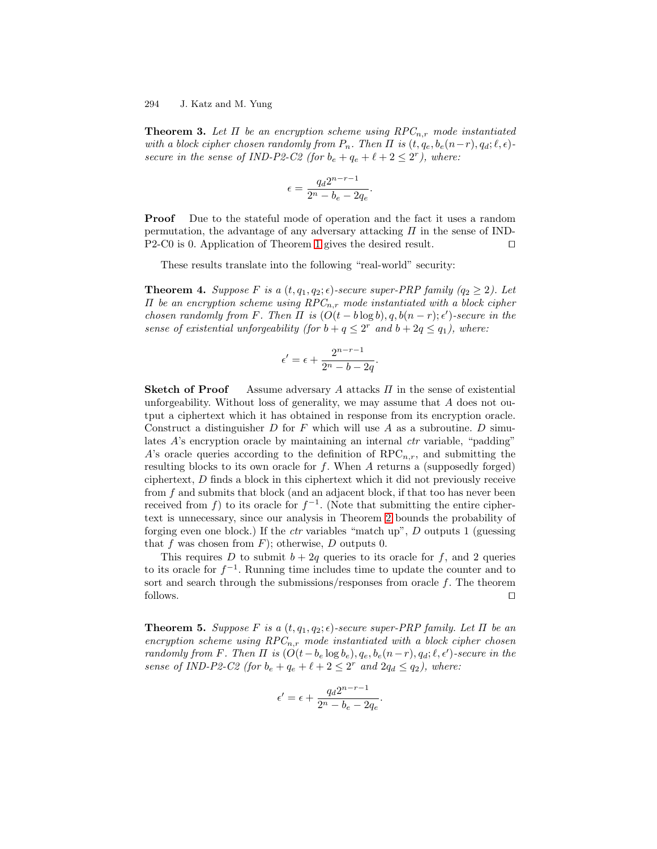<span id="page-10-0"></span>**Theorem 3.** Let  $\Pi$  be an encryption scheme using  $RPC_{n,r}$  mode instantiated with a block cipher chosen randomly from  $P_n$ . Then  $\Pi$  is  $(t, q_e, b_e(n-r), q_d; \ell, \epsilon)$ secure in the sense of IND-P2-C2 (for  $b_e + q_e + \ell + 2 \leq 2^r$ ), where:

$$
\epsilon = \frac{q_d 2^{n-r-1}}{2^n - b_e - 2q_e}
$$

.

**Proof** Due to the stateful mode of operation and the fact it uses a random permutation, the advantage of any adversary attacking  $\Pi$  in the sense of IND-P2-C0 is 0. Application of Theorem [1](#page-7-0) gives the desired result.  $\square$ 

These results translate into the following "real-world" security:

**Theorem 4.** Suppose F is a  $(t, q_1, q_2; \epsilon)$ -secure super-PRP family  $(q_2 \geq 2)$ . Let  $\Pi$  be an encryption scheme using  $RPC_{n,r}$  mode instantiated with a block cipher chosen randomly from F. Then  $\Pi$  is  $(O(t - b \log b), q, b(n - r); \epsilon')$ -secure in the sense of existential unforgeability (for  $b + q \leq 2^r$  and  $b + 2q \leq q_1$ ), where:

$$
\epsilon' = \epsilon + \frac{2^{n-r-1}}{2^n - b - 2q}.
$$

**Sketch of Proof** Assume adversary A attacks Π in the sense of existential unforgeability. Without loss of generality, we may assume that  $A$  does not output a ciphertext which it has obtained in response from its encryption oracle. Construct a distinguisher  $D$  for  $F$  which will use  $A$  as a subroutine.  $D$  simulates A's encryption oracle by maintaining an internal *ctr* variable, "padding" A's oracle queries according to the definition of  $RPC_{n,r}$ , and submitting the resulting blocks to its own oracle for  $f$ . When  $A$  returns a (supposedly forged) ciphertext, D finds a block in this ciphertext which it did not previously receive from  $f$  and submits that block (and an adjacent block, if that too has never been received from f) to its oracle for  $f^{-1}$ . (Note that submitting the entire ciphertext is unnecessary, since our analysis in Theorem [2](#page-9-0) bounds the probability of forging even one block.) If the *ctr* variables "match up",  $D$  outputs 1 (guessing that f was chosen from  $F$ ); otherwise, D outputs 0.

This requires D to submit  $b + 2q$  queries to its oracle for f, and 2 queries to its oracle for  $f^{-1}$ . Running time includes time to update the counter and to sort and search through the submissions/responses from oracle  $f$ . The theorem follows.  $\Box$ 

**Theorem 5.** Suppose F is a  $(t, q_1, q_2; \epsilon)$ -secure super-PRP family. Let  $\Pi$  be an encryption scheme using  $RPC_{n,r}$  mode instantiated with a block cipher chosen randomly from F. Then  $\Pi$  is  $(O(t-b_e \log b_e), q_e, b_e(n-r), q_d; \ell, \epsilon')$ -secure in the sense of IND-P2-C2 (for  $b_e + q_e + \ell + 2 \leq 2^r$  and  $2q_d \leq q_2$ ), where:

$$
\epsilon'=\epsilon+\frac{q_d2^{n-r-1}}{2^n-b_e-2q_e}.
$$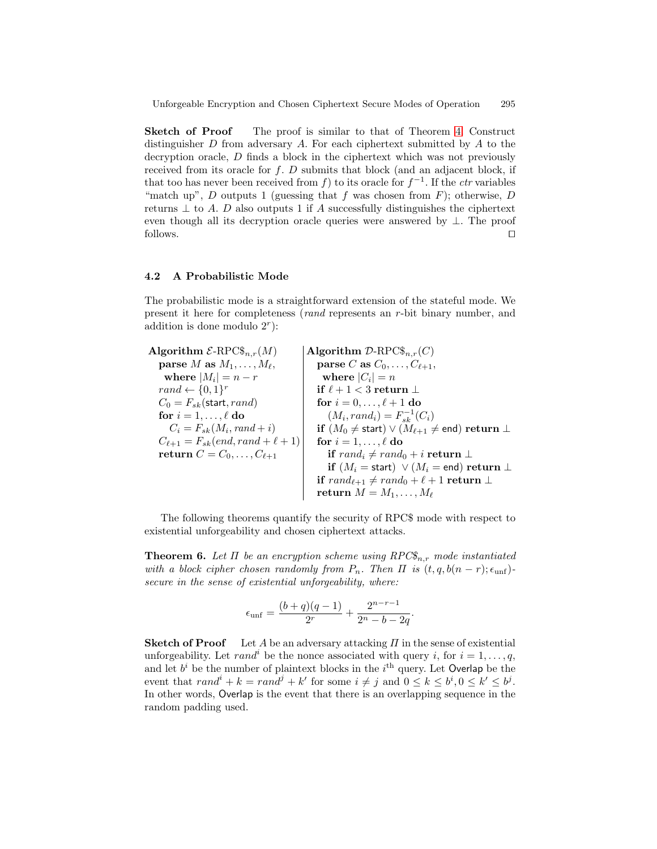<span id="page-11-0"></span>**Sketch of Proof** The proof is similar to that of Theorem [4.](#page-10-0) Construct distinguisher  $D$  from adversary  $A$ . For each ciphertext submitted by  $A$  to the decryption oracle, D finds a block in the ciphertext which was not previously received from its oracle for  $f$ .  $D$  submits that block (and an adjacent block, if that too has never been received from f) to its oracle for  $f^{-1}$ . If the *ctr* variables "match up", D outputs 1 (guessing that f was chosen from  $F$ ); otherwise, D returns  $\perp$  to A. D also outputs 1 if A successfully distinguishes the ciphertext even though all its decryption oracle queries were answered by ⊥. The proof follows.  $\Box$ 

#### **4.2 A Probabilistic Mode**

The probabilistic mode is a straightforward extension of the stateful mode. We present it here for completeness (rand represents an r-bit binary number, and addition is done modulo  $2<sup>r</sup>$ :

**Algorithm**  $\mathcal{E}\text{-RPC\$}_{n,r}(M)$ **parse** M **as**  $M_1, \ldots, M_\ell$ , **where**  $|M_i| = n - r$  $rand \leftarrow \{0,1\}^r$  $C_0 = F_{sk}(\text{start}, rand)$ **for**  $i = 1, \ldots, \ell$  **do**  $C_i = F_{sk}(M_i, rand + i)$  $C_{\ell+1} = F_{sk}(end, rand + \ell + 1)$ **return**  $C = C_0, \ldots, C_{\ell+1}$ **Algorithm**  $\mathcal{D}$ -RPC $\$_{n,r}(C)$ **parse** C **as**  $C_0, \ldots, C_{\ell+1}$ , **where**  $|C_i| = n$  $\textbf{if} \ \ell + 1 < 3 \ \textbf{return} \ \bot$ **for**  $i = 0, \ldots, \ell + 1$  **do**  $(M_i, rand_i) = F_{sk}^{-1}(C_i)$ **if**  $(M_0 \neq$  start)  $\lor$   $(M_{\ell+1} \neq$  end) **return** ⊥ **for**  $i = 1, \ldots, \ell$  **do if**  $rand_i \neq rand_0 + i$  **return**  $\perp$ **if**  $(M_i = \text{start}) \lor (M_i = \text{end}) \text{return } \bot$  $\mathbf{if}~\mathit{rand}_{\ell+1} \neq \mathit{rand}_0 + \ell + 1 \mathbf{\ return} \perp$  $\textbf{return} \; M = M_1, \ldots, M_\ell$ 

The following theorems quantify the security of RPC\$ mode with respect to existential unforgeability and chosen ciphertext attacks.

**Theorem 6.** Let  $\Pi$  be an encryption scheme using  $RPC\mathcal{S}_{n,r}$  mode instantiated with a block cipher chosen randomly from  $P_n$ . Then  $\Pi$  is  $(t, q, b(n-r);\epsilon_{\text{unf}})$ secure in the sense of existential unforgeability, where:

$$
\epsilon_{\rm unf} = \frac{(b+q)(q-1)}{2^r} + \frac{2^{n-r-1}}{2^n - b - 2q}.
$$

**Sketch of Proof** Let A be an adversary attacking  $\Pi$  in the sense of existential unforgeability. Let rand<sup>i</sup> be the nonce associated with query i, for  $i = 1, \ldots, q$ , and let  $b^i$  be the number of plaintext blocks in the  $i^{\text{th}}$  query. Let Overlap be the event that  $rand^{i} + k = rand^{j} + k'$  for some  $i \neq j$  and  $0 \leq k \leq b^{i}, 0 \leq k' \leq b^{j}$ . In other words, Overlap is the event that there is an overlapping sequence in the random padding used.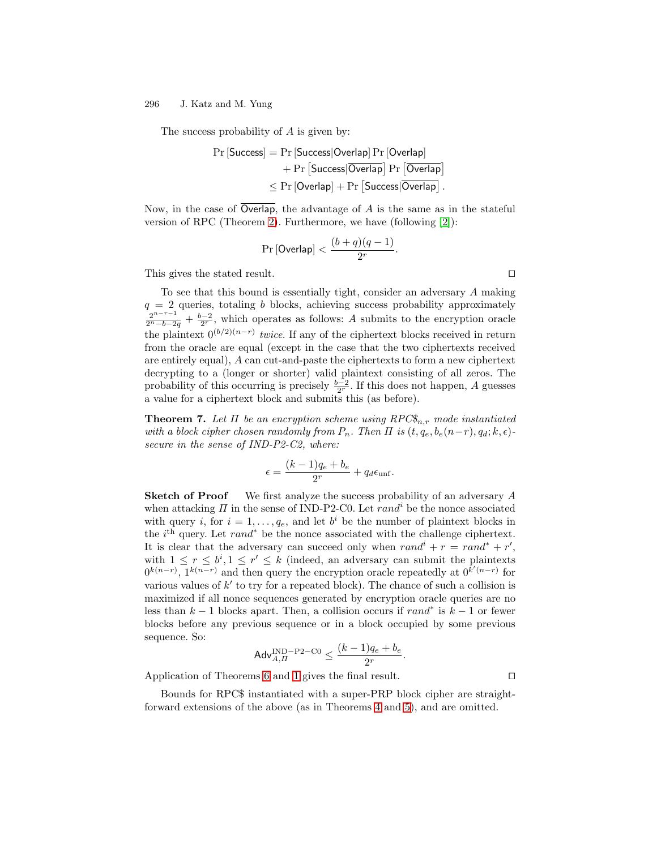The success probability of A is given by:

$$
\begin{aligned} \Pr\left[\text{Success}\right] &= \Pr\left[\text{Success}|\text{Overall} \Pr\left[\text{Overall}\right]\right] \\ &+ \Pr\left[\text{Success}|\overline{\text{Overall}}\right] \Pr\left[\overline{\text{Overall}}\right] \\ &\leq \Pr\left[\text{Overallap}\right] + \Pr\left[\text{Success}|\overline{\text{Overall}}\right]. \end{aligned}
$$

Now, in the case of Overlap, the advantage of  $A$  is the same as in the stateful version of RPC (Theorem [2\)](#page-9-0). Furthermore, we have (following [\[2\]](#page-14-0)):

$$
\Pr\left[\mathsf{Overlap}\right] < \frac{(b+q)(q-1)}{2^r}.
$$

This gives the stated result.  $\Box$ 

To see that this bound is essentially tight, consider an adversary A making  $q = 2$  queries, totaling b blocks, achieving success probability approximately  $\frac{2^{n-r-1}}{2^n-b-2q}+\frac{b-2}{2^r}$ , which operates as follows: A submits to the encryption oracle the plaintext  $0^{(b/2)(n-r)}$  twice. If any of the ciphertext blocks received in return from the oracle are equal (except in the case that the two ciphertexts received are entirely equal), A can cut-and-paste the ciphertexts to form a new ciphertext decrypting to a (longer or shorter) valid plaintext consisting of all zeros. The probability of this occurring is precisely  $\frac{b-2}{2^r}$ . If this does not happen, A guesses a value for a ciphertext block and submits this (as before).

**Theorem 7.** Let  $\Pi$  be an encryption scheme using  $RPC\$_{n,r}$  mode instantiated with a block cipher chosen randomly from  $P_n$ . Then  $\Pi$  is  $(t, q_e, b_e(n-r), q_d; k, \epsilon)$ secure in the sense of IND-P2-C2, where:

$$
\epsilon = \frac{(k-1)q_e + b_e}{2^r} + q_d \epsilon_{\text{unf}}.
$$

**Sketch of Proof** We first analyze the success probability of an adversary A when attacking  $\Pi$  in the sense of IND-P2-C0. Let  $rand<sup>i</sup>$  be the nonce associated with query i, for  $i = 1, \ldots, q_e$ , and let  $b^i$  be the number of plaintext blocks in the  $i<sup>th</sup>$  query. Let  $rand<sup>*</sup>$  be the nonce associated with the challenge ciphertext. It is clear that the adversary can succeed only when  $rand^{i} + r = rand^{*} + r'$ , with  $1 \leq r \leq b^i, 1 \leq r' \leq k$  (indeed, an adversary can submit the plaintexts  $0^{k(n-r)}$ ,  $1^{k(n-r)}$  and then query the encryption oracle repeatedly at  $0^{k'(n-r)}$  for various values of  $k'$  to try for a repeated block). The chance of such a collision is maximized if all nonce sequences generated by encryption oracle queries are no less than  $k-1$  blocks apart. Then, a collision occurs if  $rand^*$  is  $k-1$  or fewer blocks before any previous sequence or in a block occupied by some previous sequence. So:

$$
\mathsf{Adv}_{A,\varPi}^{\text{IND-P2-C0}} \le \frac{(k-1)q_e + b_e}{2^r}.
$$

Application of Theorems [6](#page-11-0) and [1](#page-7-0) gives the final result.  $\Box$ 

Bounds for RPC\$ instantiated with a super-PRP block cipher are straightforward extensions of the above (as in Theorems [4](#page-10-0) and [5\)](#page-10-0), and are omitted.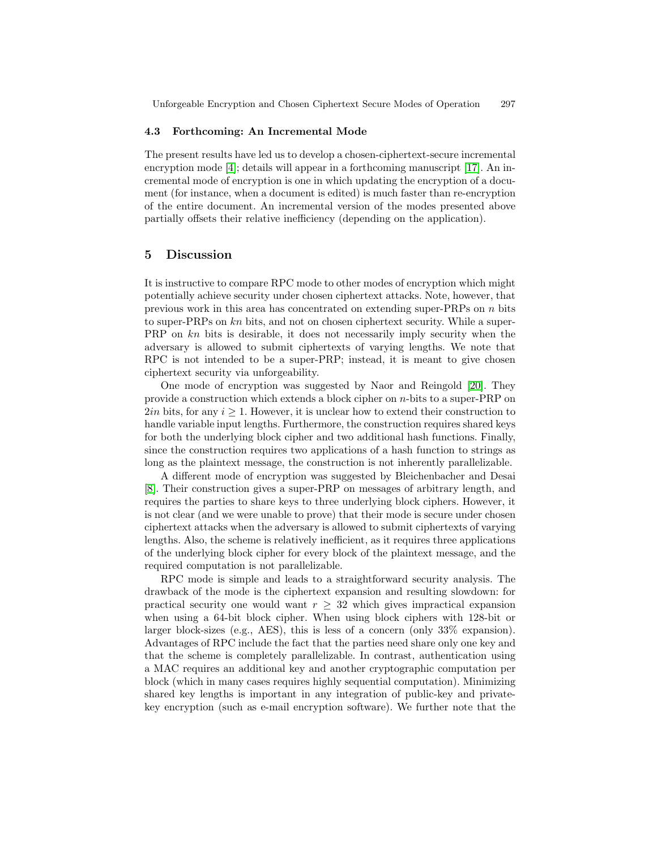#### <span id="page-13-0"></span>**4.3 Forthcoming: An Incremental Mode**

The present results have led us to develop a chosen-ciphertext-secure incremental encryption mode [\[4\]](#page-14-0); details will appear in a forthcoming manuscript [\[17\]](#page-14-0). An incremental mode of encryption is one in which updating the encryption of a document (for instance, when a document is edited) is much faster than re-encryption of the entire document. An incremental version of the modes presented above partially offsets their relative inefficiency (depending on the application).

### **5 Discussion**

It is instructive to compare RPC mode to other modes of encryption which might potentially achieve security under chosen ciphertext attacks. Note, however, that previous work in this area has concentrated on extending super-PRPs on  $n$  bits to super-PRPs on kn bits, and not on chosen ciphertext security. While a super-PRP on  $kn$  bits is desirable, it does not necessarily imply security when the adversary is allowed to submit ciphertexts of varying lengths. We note that RPC is not intended to be a super-PRP; instead, it is meant to give chosen ciphertext security via unforgeability.

One mode of encryption was suggested by Naor and Reingold [\[20\]](#page-14-0). They provide a construction which extends a block cipher on  $n$ -bits to a super-PRP on  $2in$  bits, for any  $i \geq 1$ . However, it is unclear how to extend their construction to handle variable input lengths. Furthermore, the construction requires shared keys for both the underlying block cipher and two additional hash functions. Finally, since the construction requires two applications of a hash function to strings as long as the plaintext message, the construction is not inherently parallelizable.

A different mode of encryption was suggested by Bleichenbacher and Desai [\[8\]](#page-14-0). Their construction gives a super-PRP on messages of arbitrary length, and requires the parties to share keys to three underlying block ciphers. However, it is not clear (and we were unable to prove) that their mode is secure under chosen ciphertext attacks when the adversary is allowed to submit ciphertexts of varying lengths. Also, the scheme is relatively inefficient, as it requires three applications of the underlying block cipher for every block of the plaintext message, and the required computation is not parallelizable.

RPC mode is simple and leads to a straightforward security analysis. The drawback of the mode is the ciphertext expansion and resulting slowdown: for practical security one would want  $r \geq 32$  which gives impractical expansion when using a 64-bit block cipher. When using block ciphers with 128-bit or larger block-sizes (e.g., AES), this is less of a concern (only 33% expansion). Advantages of RPC include the fact that the parties need share only one key and that the scheme is completely parallelizable. In contrast, authentication using a MAC requires an additional key and another cryptographic computation per block (which in many cases requires highly sequential computation). Minimizing shared key lengths is important in any integration of public-key and privatekey encryption (such as e-mail encryption software). We further note that the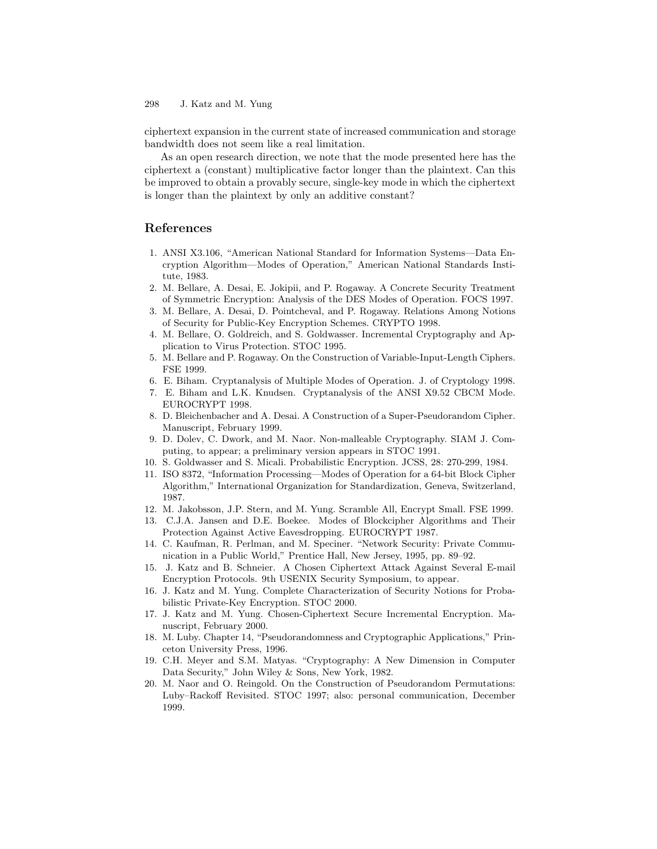<span id="page-14-0"></span>ciphertext expansion in the current state of increased communication and storage bandwidth does not seem like a real limitation.

As an open research direction, we note that the mode presented here has the ciphertext a (constant) multiplicative factor longer than the plaintext. Can this be improved to obtain a provably secure, single-key mode in which the ciphertext is longer than the plaintext by only an additive constant?

# **References**

- 1. ANSI X3.106, "American National Standard for Information Systems—Data Encryption Algorithm—Modes of Operation," American National Standards Institute, 1983.
- 2. M. Bellare, A. Desai, E. Jokipii, and P. Rogaway. A Concrete Security Treatment of Symmetric Encryption: Analysis of the DES Modes of Operation. FOCS 1997.
- 3. M. Bellare, A. Desai, D. Pointcheval, and P. Rogaway. Relations Among Notions of Security for Public-Key Encryption Schemes. CRYPTO 1998.
- 4. M. Bellare, O. Goldreich, and S. Goldwasser. Incremental Cryptography and Application to Virus Protection. STOC 1995.
- 5. M. Bellare and P. Rogaway. On the Construction of Variable-Input-Length Ciphers. FSE 1999.
- 6. E. Biham. Cryptanalysis of Multiple Modes of Operation. J. of Cryptology 1998.
- 7. E. Biham and L.K. Knudsen. Cryptanalysis of the ANSI X9.52 CBCM Mode. EUROCRYPT 1998.
- 8. D. Bleichenbacher and A. Desai. A Construction of a Super-Pseudorandom Cipher. Manuscript, February 1999.
- 9. D. Dolev, C. Dwork, and M. Naor. Non-malleable Cryptography. SIAM J. Computing, to appear; a preliminary version appears in STOC 1991.
- 10. S. Goldwasser and S. Micali. Probabilistic Encryption. JCSS, 28: 270-299, 1984.
- 11. ISO 8372, "Information Processing—Modes of Operation for a 64-bit Block Cipher Algorithm," International Organization for Standardization, Geneva, Switzerland, 1987.
- 12. M. Jakobsson, J.P. Stern, and M. Yung. Scramble All, Encrypt Small. FSE 1999.
- 13. C.J.A. Jansen and D.E. Boekee. Modes of Blockcipher Algorithms and Their Protection Against Active Eavesdropping. EUROCRYPT 1987.
- 14. C. Kaufman, R. Perlman, and M. Speciner. "Network Security: Private Communication in a Public World," Prentice Hall, New Jersey, 1995, pp. 89–92.
- 15. J. Katz and B. Schneier. A Chosen Ciphertext Attack Against Several E-mail Encryption Protocols. 9th USENIX Security Symposium, to appear.
- 16. J. Katz and M. Yung. Complete Characterization of Security Notions for Probabilistic Private-Key Encryption. STOC 2000.
- 17. J. Katz and M. Yung. Chosen-Ciphertext Secure Incremental Encryption. Manuscript, February 2000.
- 18. M. Luby. Chapter 14, "Pseudorandomness and Cryptographic Applications," Princeton University Press, 1996.
- 19. C.H. Meyer and S.M. Matyas. "Cryptography: A New Dimension in Computer Data Security," John Wiley & Sons, New York, 1982.
- 20. M. Naor and O. Reingold. On the Construction of Pseudorandom Permutations: Luby–Rackoff Revisited. STOC 1997; also: personal communication, December 1999.